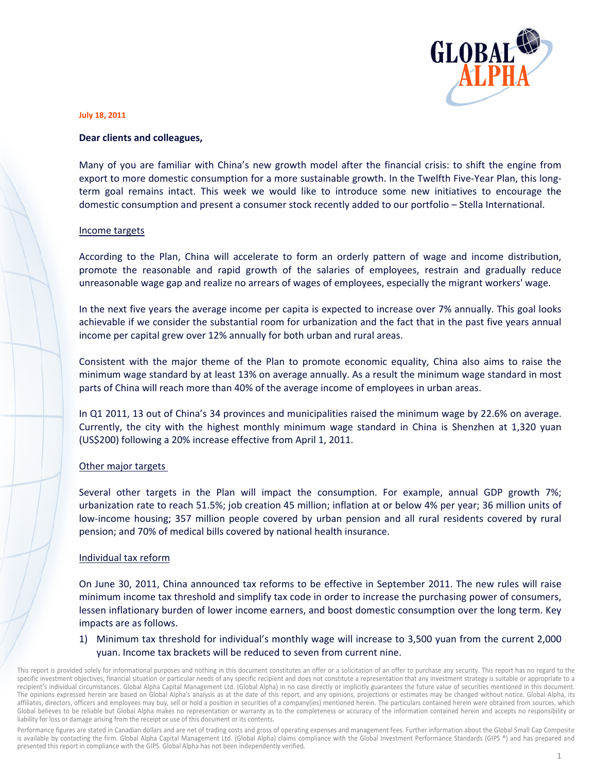

#### **July 18, 2011**

#### Dear clients and colleagues,

Many of you are familiar with China's new growth model after the financial crisis: to shift the engine from export to more domestic consumption for a more sustainable growth. In the Twelfth Five-Year Plan, this longterm goal remains intact. This week we would like to introduce some new initiatives to encourage the domestic consumption and present a consumer stock recently added to our portfolio - Stella International.

### Income targets

According to the Plan, China will accelerate to form an orderly pattern of wage and income distribution, promote the reasonable and rapid growth of the salaries of employees, restrain and gradually reduce unreasonable wage gap and realize no arrears of wages of employees, especially the migrant workers' wage.

In the next five years the average income per capita is expected to increase over 7% annually. This goal looks achievable if we consider the substantial room for urbanization and the fact that in the past five years annual income per capital grew over 12% annually for both urban and rural areas.

Consistent with the major theme of the Plan to promote economic equality, China also aims to raise the minimum wage standard by at least 13% on average annually. As a result the minimum wage standard in most parts of China will reach more than 40% of the average income of employees in urban areas.

In Q1 2011, 13 out of China's 34 provinces and municipalities raised the minimum wage by 22.6% on average. Currently, the city with the highest monthly minimum wage standard in China is Shenzhen at 1,320 yuan (US\$200) following a 20% increase effective from April 1, 2011.

# Other major targets

Several other targets in the Plan will impact the consumption. For example, annual GDP growth 7%; urbanization rate to reach 51.5%; job creation 45 million; inflation at or below 4% per year; 36 million units of low-income housing; 357 million people covered by urban pension and all rural residents covered by rural pension; and 70% of medical bills covered by national health insurance.

# Individual tax reform

On June 30, 2011, China announced tax reforms to be effective in September 2011. The new rules will raise minimum income tax threshold and simplify tax code in order to increase the purchasing power of consumers, lessen inflationary burden of lower income earners, and boost domestic consumption over the long term. Key impacts are as follows.

1) Minimum tax threshold for individual's monthly wage will increase to 3,500 yuan from the current 2,000 yuan. Income tax brackets will be reduced to seven from current nine.

This report is provided solely for informational purposes and nothing in this document constitutes an offer or a solicitation of an offer to purchase any security. This report has no regard to the specific investment objectives, financial situation or particular needs of any specific recipient and does not constitute a representation that any investment strategy is suitable or appropriate to a recipient's individual circumstances. Global Alpha Capital Management Ltd. (Global Alpha) in no case directly or implicitly guarantees the future value of securities mentioned in this document. The opinions expressed herein are based on Global Alpha's analysis as at the date of this report, and any opinions, projections or estimates may be changed without notice. Global Alpha, its affiliates, directors, officers and employees may buy, sell or hold a position in securities of a company(ies) mentioned herein. The particulars contained herein were obtained from sources, which Global believes to be reliable but Global Alpha makes no representation or warranty as to the completeness or accuracy of the information contained herein and accepts no responsibility or liability for loss or damage arising from the receipt or use of this document or its contents.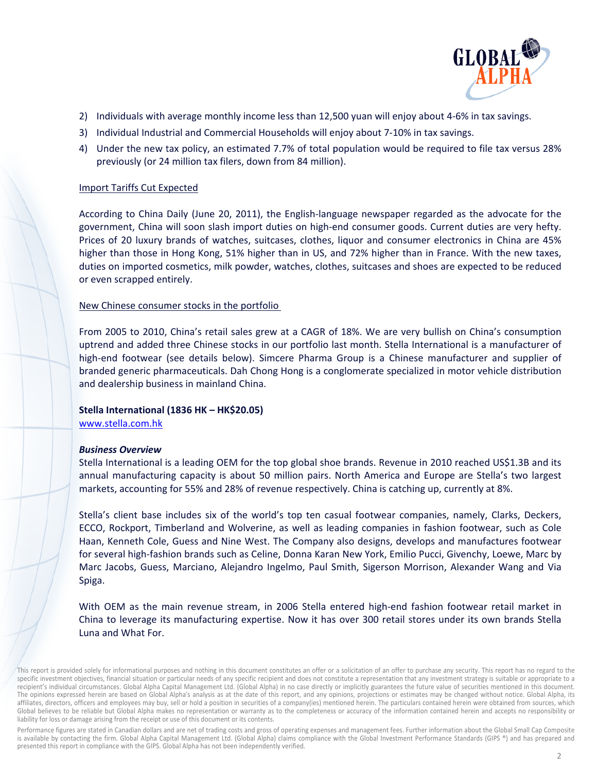

- 2) Individuals with average monthly income less than 12,500 yuan will enjoy about 4-6% in tax savings.
- 3) Individual Industrial and Commercial Households will enjoy about 7-10% in tax savings.
- 4) Under the new tax policy, an estimated 7.7% of total population would be required to file tax versus 28% previously (or 24 million tax filers, down from 84 million).

## **Import Tariffs Cut Expected**

According to China Daily (June 20, 2011), the English-language newspaper regarded as the advocate for the government, China will soon slash import duties on high-end consumer goods. Current duties are very hefty. Prices of 20 luxury brands of watches, suitcases, clothes, liquor and consumer electronics in China are 45% higher than those in Hong Kong, 51% higher than in US, and 72% higher than in France. With the new taxes, duties on imported cosmetics, milk powder, watches, clothes, suitcases and shoes are expected to be reduced or even scrapped entirely.

# New Chinese consumer stocks in the portfolio

From 2005 to 2010, China's retail sales grew at a CAGR of 18%. We are very bullish on China's consumption uptrend and added three Chinese stocks in our portfolio last month. Stella International is a manufacturer of high-end footwear (see details below). Simcere Pharma Group is a Chinese manufacturer and supplier of branded generic pharmaceuticals. Dah Chong Hong is a conglomerate specialized in motor vehicle distribution and dealership business in mainland China.

# Stella International (1836 HK - HK\$20.05)

www.stella.com.hk

# **Business Overview**

Stella International is a leading OEM for the top global shoe brands. Revenue in 2010 reached US\$1.3B and its annual manufacturing capacity is about 50 million pairs. North America and Europe are Stella's two largest markets, accounting for 55% and 28% of revenue respectively. China is catching up, currently at 8%.

Stella's client base includes six of the world's top ten casual footwear companies, namely, Clarks, Deckers, ECCO, Rockport, Timberland and Wolverine, as well as leading companies in fashion footwear, such as Cole Haan, Kenneth Cole, Guess and Nine West. The Company also designs, develops and manufactures footwear for several high-fashion brands such as Celine, Donna Karan New York, Emilio Pucci, Givenchy, Loewe, Marc by Marc Jacobs, Guess, Marciano, Alejandro Ingelmo, Paul Smith, Sigerson Morrison, Alexander Wang and Via Spiga.

With OEM as the main revenue stream, in 2006 Stella entered high-end fashion footwear retail market in China to leverage its manufacturing expertise. Now it has over 300 retail stores under its own brands Stella Luna and What For.

This report is provided solely for informational purposes and nothing in this document constitutes an offer or a solicitation of an offer to purchase any security. This report has no regard to the specific investment objectives, financial situation or particular needs of any specific recipient and does not constitute a representation that any investment strategy is suitable or appropriate to a recipient's individual circumstances. Global Alpha Capital Management Ltd. (Global Alpha) in no case directly or implicitly guarantees the future value of securities mentioned in this document. The opinions expressed herein are based on Global Alpha's analysis as at the date of this report, and any opinions, projections or estimates may be changed without notice. Global Alpha, its affiliates, directors, officers and employees may buy, sell or hold a position in securities of a company(ies) mentioned herein. The particulars contained herein were obtained from sources, which Global believes to be reliable but Global Alpha makes no representation or warranty as to the completeness or accuracy of the information contained herein and accepts no responsibility or liability for loss or damage arising from the receipt or use of this document or its contents.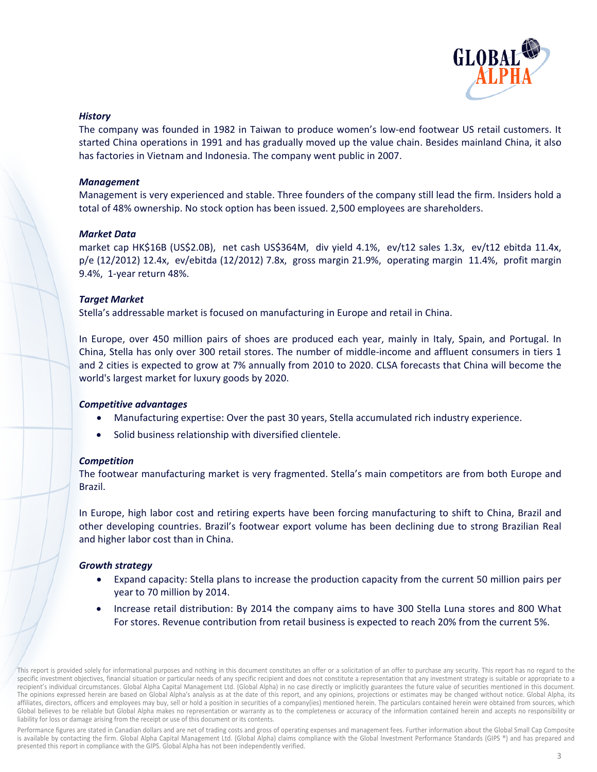

### **History**

The company was founded in 1982 in Taiwan to produce women's low-end footwear US retail customers. It started China operations in 1991 and has gradually moved up the value chain. Besides mainland China, it also has factories in Vietnam and Indonesia. The company went public in 2007.

### **Management**

Management is very experienced and stable. Three founders of the company still lead the firm. Insiders hold a total of 48% ownership. No stock option has been issued. 2,500 employees are shareholders.

### **Market Data**

market cap HK\$16B (US\$2.0B), net cash US\$364M, div yield 4.1%, ev/t12 sales 1.3x, ev/t12 ebitda 11.4x,  $p/e$  (12/2012) 12.4x, ev/ebitda (12/2012) 7.8x, gross margin 21.9%, operating margin 11.4%, profit margin 9.4%, 1-year return 48%.

# **Target Market**

Stella's addressable market is focused on manufacturing in Europe and retail in China.

In Europe, over 450 million pairs of shoes are produced each year, mainly in Italy, Spain, and Portugal. In China, Stella has only over 300 retail stores. The number of middle-income and affluent consumers in tiers 1 and 2 cities is expected to grow at 7% annually from 2010 to 2020. CLSA forecasts that China will become the world's largest market for luxury goods by 2020.

#### **Competitive advantages**

- Manufacturing expertise: Over the past 30 years, Stella accumulated rich industry experience.
- Solid business relationship with diversified clientele.

# **Competition**

The footwear manufacturing market is very fragmented. Stella's main competitors are from both Europe and **Brazil** 

In Europe, high labor cost and retiring experts have been forcing manufacturing to shift to China, Brazil and other developing countries. Brazil's footwear export volume has been declining due to strong Brazilian Real and higher labor cost than in China.

# **Growth strategy**

- Expand capacity: Stella plans to increase the production capacity from the current 50 million pairs per year to 70 million by 2014.
- Increase retail distribution: By 2014 the company aims to have 300 Stella Luna stores and 800 What For stores. Revenue contribution from retail business is expected to reach 20% from the current 5%.

This report is provided solely for informational purposes and nothing in this document constitutes an offer or a solicitation of an offer to purchase any security. This report has no regard to the specific investment objectives, financial situation or particular needs of any specific recipient and does not constitute a representation that any investment strategy is suitable or appropriate to a recipient's individual circumstances. Global Alpha Capital Management Ltd. (Global Alpha) in no case directly or implicitly guarantees the future value of securities mentioned in this document. The opinions expressed herein are based on Global Alpha's analysis as at the date of this report, and any opinions, projections or estimates may be changed without notice. Global Alpha, its affiliates, directors, officers and employees may buy, sell or hold a position in securities of a company(ies) mentioned herein. The particulars contained herein were obtained from sources, which Global believes to be reliable but Global Alpha makes no representation or warranty as to the completeness or accuracy of the information contained herein and accepts no responsibility or liability for loss or damage arising from the receipt or use of this document or its contents.